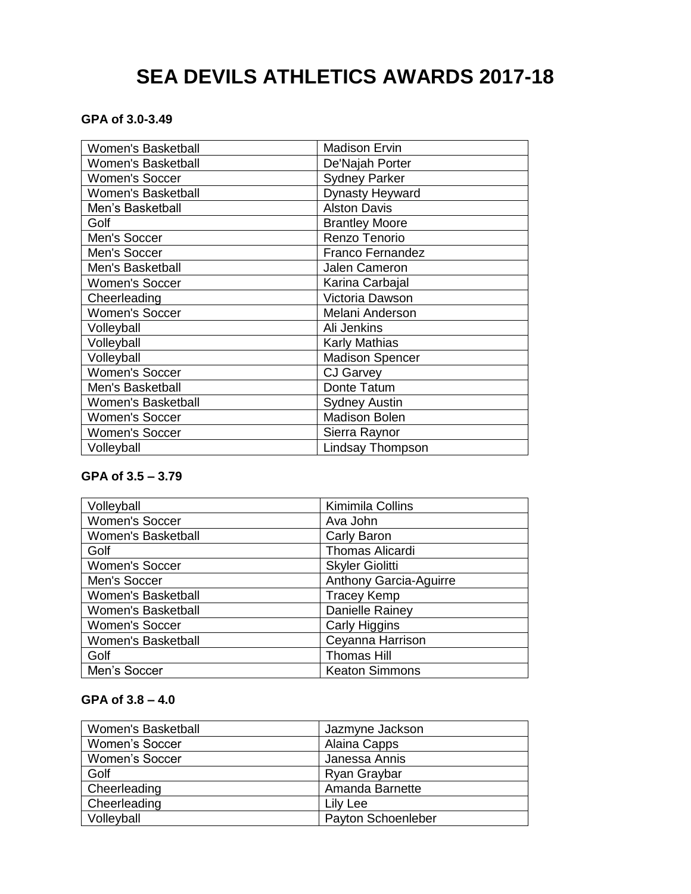# **SEA DEVILS ATHLETICS AWARDS 2017-18**

# **GPA of 3.0-3.49**

| <b>Women's Basketball</b> | <b>Madison Ervin</b>    |
|---------------------------|-------------------------|
| <b>Women's Basketball</b> | De'Najah Porter         |
| <b>Women's Soccer</b>     | <b>Sydney Parker</b>    |
| <b>Women's Basketball</b> | Dynasty Heyward         |
| Men's Basketball          | <b>Alston Davis</b>     |
| Golf                      | <b>Brantley Moore</b>   |
| Men's Soccer              | Renzo Tenorio           |
| Men's Soccer              | <b>Franco Fernandez</b> |
| Men's Basketball          | <b>Jalen Cameron</b>    |
| <b>Women's Soccer</b>     | Karina Carbajal         |
| Cheerleading              | Victoria Dawson         |
| <b>Women's Soccer</b>     | Melani Anderson         |
| Volleyball                | Ali Jenkins             |
| Volleyball                | <b>Karly Mathias</b>    |
| Volleyball                | <b>Madison Spencer</b>  |
| <b>Women's Soccer</b>     | <b>CJ Garvey</b>        |
| Men's Basketball          | Donte Tatum             |
| <b>Women's Basketball</b> | <b>Sydney Austin</b>    |
| <b>Women's Soccer</b>     | <b>Madison Bolen</b>    |
| <b>Women's Soccer</b>     | Sierra Raynor           |
| Volleyball                | <b>Lindsay Thompson</b> |

# **GPA of 3.5 – 3.79**

| Volleyball                | Kimimila Collins              |
|---------------------------|-------------------------------|
| Women's Soccer            | Ava John                      |
| <b>Women's Basketball</b> | Carly Baron                   |
| Golf                      | <b>Thomas Alicardi</b>        |
| <b>Women's Soccer</b>     | <b>Skyler Giolitti</b>        |
| Men's Soccer              | <b>Anthony Garcia-Aguirre</b> |
| Women's Basketball        | <b>Tracey Kemp</b>            |
| Women's Basketball        | Danielle Rainey               |
| <b>Women's Soccer</b>     | Carly Higgins                 |
| Women's Basketball        | Ceyanna Harrison              |
| Golf                      | <b>Thomas Hill</b>            |
| Men's Soccer              | <b>Keaton Simmons</b>         |

# **GPA of 3.8 – 4.0**

| Women's Basketball    | Jazmyne Jackson    |
|-----------------------|--------------------|
| <b>Women's Soccer</b> | Alaina Capps       |
| <b>Women's Soccer</b> | Janessa Annis      |
| Golf                  | Ryan Graybar       |
| Cheerleading          | Amanda Barnette    |
| Cheerleading          | Lily Lee           |
| Volleyball            | Payton Schoenleber |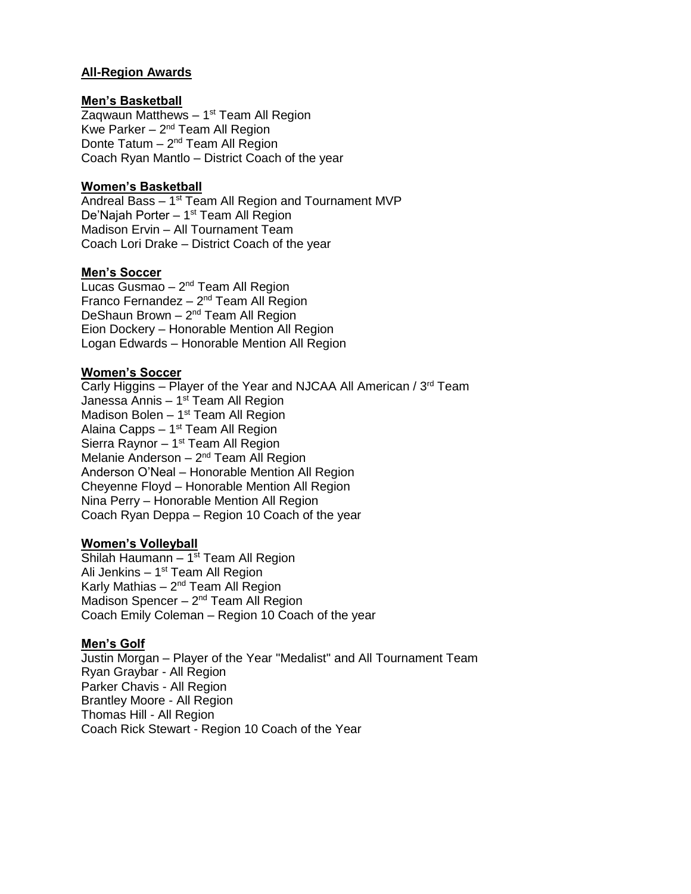# **All-Region Awards**

#### **Men's Basketball**

Zaqwaun Matthews – 1<sup>st</sup> Team All Region Kwe Parker – 2<sup>nd</sup> Team All Region Donte Tatum - 2<sup>nd</sup> Team All Region Coach Ryan Mantlo – District Coach of the year

# **Women's Basketball**

Andreal Bass – 1<sup>st</sup> Team All Region and Tournament MVP De'Najah Porter - 1<sup>st</sup> Team All Region Madison Ervin – All Tournament Team Coach Lori Drake – District Coach of the year

# **Men's Soccer**

Lucas Gusmao – 2<sup>nd</sup> Team All Region Franco Fernandez - 2<sup>nd</sup> Team All Region DeShaun Brown - 2<sup>nd</sup> Team All Region Eion Dockery – Honorable Mention All Region Logan Edwards – Honorable Mention All Region

# **Women's Soccer**

Carly Higgins – Player of the Year and NJCAA All American /  $3<sup>rd</sup>$  Team Janessa Annis – 1<sup>st</sup> Team All Region Madison Bolen - 1<sup>st</sup> Team All Region Alaina Capps – 1<sup>st</sup> Team All Region Sierra Raynor – 1<sup>st</sup> Team All Region Melanie Anderson – 2<sup>nd</sup> Team All Region Anderson O'Neal – Honorable Mention All Region Cheyenne Floyd – Honorable Mention All Region Nina Perry – Honorable Mention All Region Coach Ryan Deppa – Region 10 Coach of the year

#### **Women's Volleyball**

Shilah Haumann – 1<sup>st</sup> Team All Region Ali Jenkins – 1<sup>st</sup> Team All Region Karly Mathias – 2<sup>nd</sup> Team All Region Madison Spencer - 2<sup>nd</sup> Team All Region Coach Emily Coleman – Region 10 Coach of the year

#### **Men's Golf**

Justin Morgan – Player of the Year "Medalist" and All Tournament Team Ryan Graybar - All Region Parker Chavis - All Region Brantley Moore - All Region Thomas Hill - All Region Coach Rick Stewart - Region 10 Coach of the Year